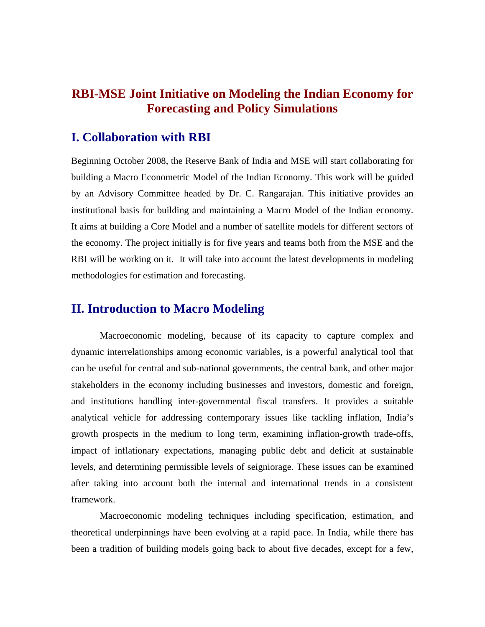# **RBI-MSE Joint Initiative on Modeling the Indian Economy for Forecasting and Policy Simulations**

## **I. Collaboration with RBI**

Beginning October 2008, the Reserve Bank of India and MSE will start collaborating for building a Macro Econometric Model of the Indian Economy. This work will be guided by an Advisory Committee headed by Dr. C. Rangarajan. This initiative provides an institutional basis for building and maintaining a Macro Model of the Indian economy. It aims at building a Core Model and a number of satellite models for different sectors of the economy. The project initially is for five years and teams both from the MSE and the RBI will be working on it. It will take into account the latest developments in modeling methodologies for estimation and forecasting.

### **II. Introduction to Macro Modeling**

 Macroeconomic modeling, because of its capacity to capture complex and dynamic interrelationships among economic variables, is a powerful analytical tool that can be useful for central and sub-national governments, the central bank, and other major stakeholders in the economy including businesses and investors, domestic and foreign, and institutions handling inter-governmental fiscal transfers. It provides a suitable analytical vehicle for addressing contemporary issues like tackling inflation, India's growth prospects in the medium to long term, examining inflation-growth trade-offs, impact of inflationary expectations, managing public debt and deficit at sustainable levels, and determining permissible levels of seigniorage. These issues can be examined after taking into account both the internal and international trends in a consistent framework.

Macroeconomic modeling techniques including specification, estimation, and theoretical underpinnings have been evolving at a rapid pace. In India, while there has been a tradition of building models going back to about five decades, except for a few,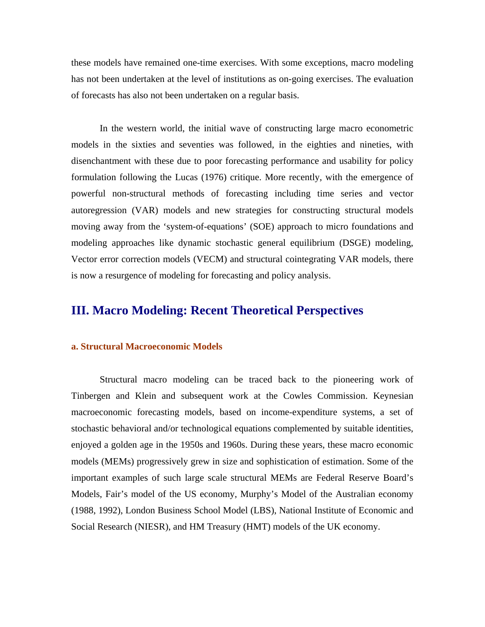these models have remained one-time exercises. With some exceptions, macro modeling has not been undertaken at the level of institutions as on-going exercises. The evaluation of forecasts has also not been undertaken on a regular basis.

In the western world, the initial wave of constructing large macro econometric models in the sixties and seventies was followed, in the eighties and nineties, with disenchantment with these due to poor forecasting performance and usability for policy formulation following the Lucas (1976) critique. More recently, with the emergence of powerful non-structural methods of forecasting including time series and vector autoregression (VAR) models and new strategies for constructing structural models moving away from the 'system-of-equations' (SOE) approach to micro foundations and modeling approaches like dynamic stochastic general equilibrium (DSGE) modeling, Vector error correction models (VECM) and structural cointegrating VAR models, there is now a resurgence of modeling for forecasting and policy analysis.

## **III. Macro Modeling: Recent Theoretical Perspectives**

#### **a. Structural Macroeconomic Models**

Structural macro modeling can be traced back to the pioneering work of Tinbergen and Klein and subsequent work at the Cowles Commission. Keynesian macroeconomic forecasting models, based on income-expenditure systems, a set of stochastic behavioral and/or technological equations complemented by suitable identities, enjoyed a golden age in the 1950s and 1960s. During these years, these macro economic models (MEMs) progressively grew in size and sophistication of estimation. Some of the important examples of such large scale structural MEMs are Federal Reserve Board's Models, Fair's model of the US economy, Murphy's Model of the Australian economy (1988, 1992), London Business School Model (LBS), National Institute of Economic and Social Research (NIESR), and HM Treasury (HMT) models of the UK economy.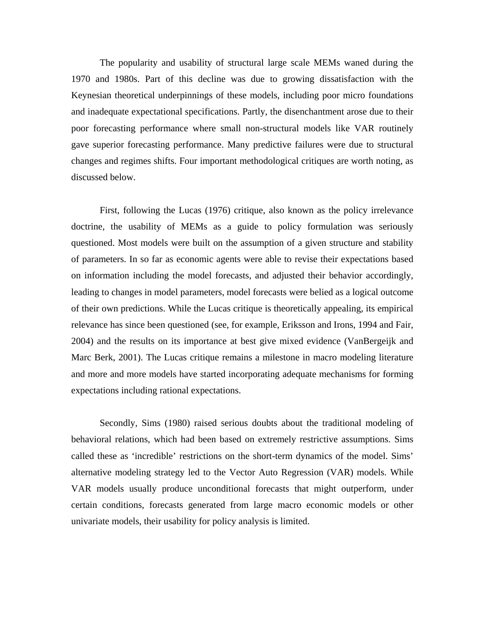The popularity and usability of structural large scale MEMs waned during the 1970 and 1980s. Part of this decline was due to growing dissatisfaction with the Keynesian theoretical underpinnings of these models, including poor micro foundations and inadequate expectational specifications. Partly, the disenchantment arose due to their poor forecasting performance where small non-structural models like VAR routinely gave superior forecasting performance. Many predictive failures were due to structural changes and regimes shifts. Four important methodological critiques are worth noting, as discussed below.

First, following the Lucas (1976) critique, also known as the policy irrelevance doctrine, the usability of MEMs as a guide to policy formulation was seriously questioned. Most models were built on the assumption of a given structure and stability of parameters. In so far as economic agents were able to revise their expectations based on information including the model forecasts, and adjusted their behavior accordingly, leading to changes in model parameters, model forecasts were belied as a logical outcome of their own predictions. While the Lucas critique is theoretically appealing, its empirical relevance has since been questioned (see, for example, Eriksson and Irons, 1994 and Fair, 2004) and the results on its importance at best give mixed evidence (VanBergeijk and Marc Berk, 2001). The Lucas critique remains a milestone in macro modeling literature and more and more models have started incorporating adequate mechanisms for forming expectations including rational expectations.

Secondly, Sims (1980) raised serious doubts about the traditional modeling of behavioral relations, which had been based on extremely restrictive assumptions. Sims called these as 'incredible' restrictions on the short-term dynamics of the model. Sims' alternative modeling strategy led to the Vector Auto Regression (VAR) models. While VAR models usually produce unconditional forecasts that might outperform, under certain conditions, forecasts generated from large macro economic models or other univariate models, their usability for policy analysis is limited.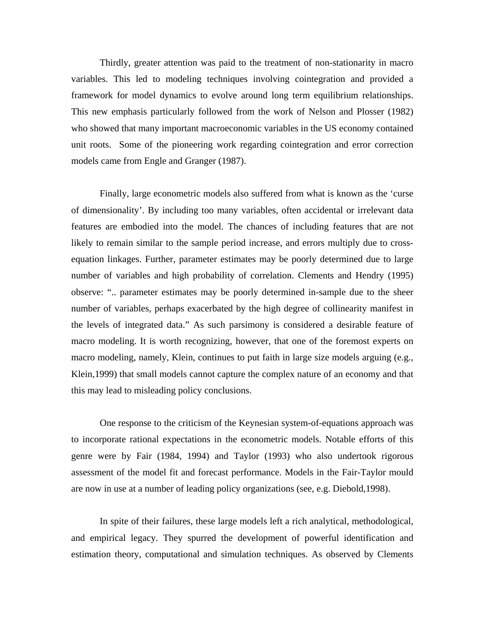Thirdly, greater attention was paid to the treatment of non-stationarity in macro variables. This led to modeling techniques involving cointegration and provided a framework for model dynamics to evolve around long term equilibrium relationships. This new emphasis particularly followed from the work of Nelson and Plosser (1982) who showed that many important macroeconomic variables in the US economy contained unit roots. Some of the pioneering work regarding cointegration and error correction models came from Engle and Granger (1987).

Finally, large econometric models also suffered from what is known as the 'curse of dimensionality'. By including too many variables, often accidental or irrelevant data features are embodied into the model. The chances of including features that are not likely to remain similar to the sample period increase, and errors multiply due to crossequation linkages. Further, parameter estimates may be poorly determined due to large number of variables and high probability of correlation. Clements and Hendry (1995) observe: ".. parameter estimates may be poorly determined in-sample due to the sheer number of variables, perhaps exacerbated by the high degree of collinearity manifest in the levels of integrated data." As such parsimony is considered a desirable feature of macro modeling. It is worth recognizing, however, that one of the foremost experts on macro modeling, namely, Klein, continues to put faith in large size models arguing (e.g., Klein,1999) that small models cannot capture the complex nature of an economy and that this may lead to misleading policy conclusions.

One response to the criticism of the Keynesian system-of-equations approach was to incorporate rational expectations in the econometric models. Notable efforts of this genre were by Fair (1984, 1994) and Taylor (1993) who also undertook rigorous assessment of the model fit and forecast performance. Models in the Fair-Taylor mould are now in use at a number of leading policy organizations (see, e.g. Diebold,1998).

In spite of their failures, these large models left a rich analytical, methodological, and empirical legacy. They spurred the development of powerful identification and estimation theory, computational and simulation techniques. As observed by Clements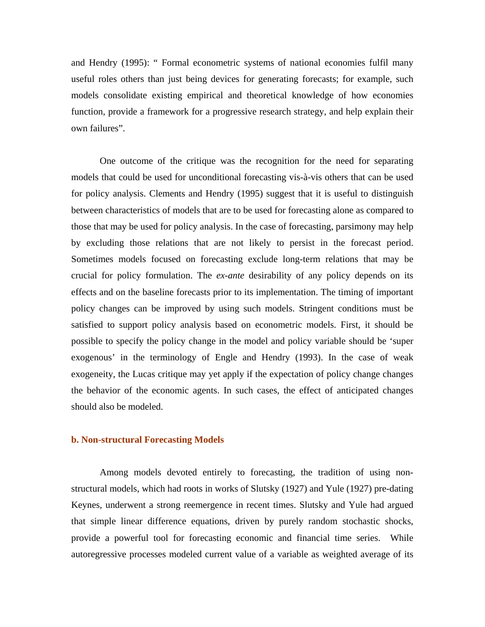and Hendry (1995): " Formal econometric systems of national economies fulfil many useful roles others than just being devices for generating forecasts; for example, such models consolidate existing empirical and theoretical knowledge of how economies function, provide a framework for a progressive research strategy, and help explain their own failures".

One outcome of the critique was the recognition for the need for separating models that could be used for unconditional forecasting vis-à-vis others that can be used for policy analysis. Clements and Hendry (1995) suggest that it is useful to distinguish between characteristics of models that are to be used for forecasting alone as compared to those that may be used for policy analysis. In the case of forecasting, parsimony may help by excluding those relations that are not likely to persist in the forecast period. Sometimes models focused on forecasting exclude long-term relations that may be crucial for policy formulation. The *ex-ante* desirability of any policy depends on its effects and on the baseline forecasts prior to its implementation. The timing of important policy changes can be improved by using such models. Stringent conditions must be satisfied to support policy analysis based on econometric models. First, it should be possible to specify the policy change in the model and policy variable should be 'super exogenous' in the terminology of Engle and Hendry (1993). In the case of weak exogeneity, the Lucas critique may yet apply if the expectation of policy change changes the behavior of the economic agents. In such cases, the effect of anticipated changes should also be modeled.

#### **b. Non-structural Forecasting Models**

Among models devoted entirely to forecasting, the tradition of using nonstructural models, which had roots in works of Slutsky (1927) and Yule (1927) pre-dating Keynes, underwent a strong reemergence in recent times. Slutsky and Yule had argued that simple linear difference equations, driven by purely random stochastic shocks, provide a powerful tool for forecasting economic and financial time series. While autoregressive processes modeled current value of a variable as weighted average of its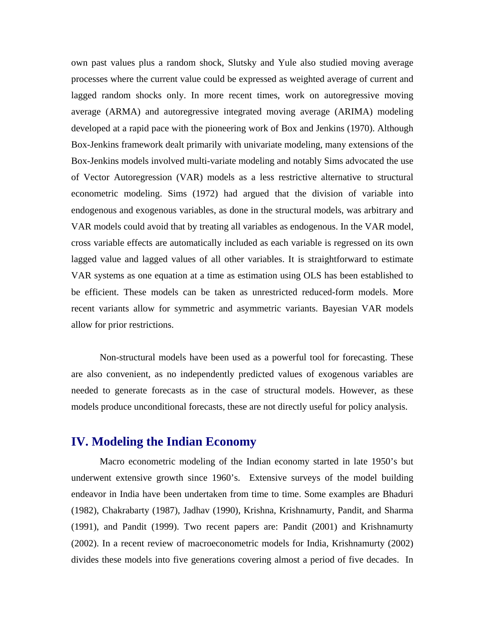own past values plus a random shock, Slutsky and Yule also studied moving average processes where the current value could be expressed as weighted average of current and lagged random shocks only. In more recent times, work on autoregressive moving average (ARMA) and autoregressive integrated moving average (ARIMA) modeling developed at a rapid pace with the pioneering work of Box and Jenkins (1970). Although Box-Jenkins framework dealt primarily with univariate modeling, many extensions of the Box-Jenkins models involved multi-variate modeling and notably Sims advocated the use of Vector Autoregression (VAR) models as a less restrictive alternative to structural econometric modeling. Sims (1972) had argued that the division of variable into endogenous and exogenous variables, as done in the structural models, was arbitrary and VAR models could avoid that by treating all variables as endogenous. In the VAR model, cross variable effects are automatically included as each variable is regressed on its own lagged value and lagged values of all other variables. It is straightforward to estimate VAR systems as one equation at a time as estimation using OLS has been established to be efficient. These models can be taken as unrestricted reduced-form models. More recent variants allow for symmetric and asymmetric variants. Bayesian VAR models allow for prior restrictions.

Non-structural models have been used as a powerful tool for forecasting. These are also convenient, as no independently predicted values of exogenous variables are needed to generate forecasts as in the case of structural models. However, as these models produce unconditional forecasts, these are not directly useful for policy analysis.

### **IV. Modeling the Indian Economy**

Macro econometric modeling of the Indian economy started in late 1950's but underwent extensive growth since 1960's. Extensive surveys of the model building endeavor in India have been undertaken from time to time. Some examples are Bhaduri (1982), Chakrabarty (1987), Jadhav (1990), Krishna, Krishnamurty, Pandit, and Sharma (1991), and Pandit (1999). Two recent papers are: Pandit (2001) and Krishnamurty (2002). In a recent review of macroeconometric models for India, Krishnamurty (2002) divides these models into five generations covering almost a period of five decades. In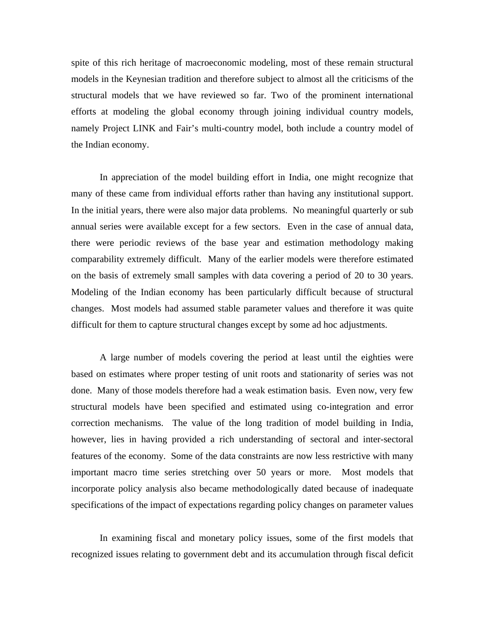spite of this rich heritage of macroeconomic modeling, most of these remain structural models in the Keynesian tradition and therefore subject to almost all the criticisms of the structural models that we have reviewed so far. Two of the prominent international efforts at modeling the global economy through joining individual country models, namely Project LINK and Fair's multi-country model, both include a country model of the Indian economy.

In appreciation of the model building effort in India, one might recognize that many of these came from individual efforts rather than having any institutional support. In the initial years, there were also major data problems. No meaningful quarterly or sub annual series were available except for a few sectors. Even in the case of annual data, there were periodic reviews of the base year and estimation methodology making comparability extremely difficult. Many of the earlier models were therefore estimated on the basis of extremely small samples with data covering a period of 20 to 30 years. Modeling of the Indian economy has been particularly difficult because of structural changes. Most models had assumed stable parameter values and therefore it was quite difficult for them to capture structural changes except by some ad hoc adjustments.

A large number of models covering the period at least until the eighties were based on estimates where proper testing of unit roots and stationarity of series was not done. Many of those models therefore had a weak estimation basis. Even now, very few structural models have been specified and estimated using co-integration and error correction mechanisms. The value of the long tradition of model building in India, however, lies in having provided a rich understanding of sectoral and inter-sectoral features of the economy. Some of the data constraints are now less restrictive with many important macro time series stretching over 50 years or more. Most models that incorporate policy analysis also became methodologically dated because of inadequate specifications of the impact of expectations regarding policy changes on parameter values

In examining fiscal and monetary policy issues, some of the first models that recognized issues relating to government debt and its accumulation through fiscal deficit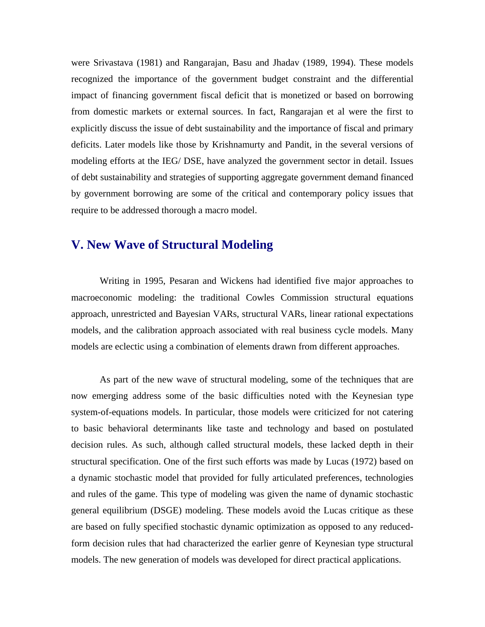were Srivastava (1981) and Rangarajan, Basu and Jhadav (1989, 1994). These models recognized the importance of the government budget constraint and the differential impact of financing government fiscal deficit that is monetized or based on borrowing from domestic markets or external sources. In fact, Rangarajan et al were the first to explicitly discuss the issue of debt sustainability and the importance of fiscal and primary deficits. Later models like those by Krishnamurty and Pandit, in the several versions of modeling efforts at the IEG/ DSE, have analyzed the government sector in detail. Issues of debt sustainability and strategies of supporting aggregate government demand financed by government borrowing are some of the critical and contemporary policy issues that require to be addressed thorough a macro model.

## **V. New Wave of Structural Modeling**

 Writing in 1995, Pesaran and Wickens had identified five major approaches to macroeconomic modeling: the traditional Cowles Commission structural equations approach, unrestricted and Bayesian VARs, structural VARs, linear rational expectations models, and the calibration approach associated with real business cycle models. Many models are eclectic using a combination of elements drawn from different approaches.

As part of the new wave of structural modeling, some of the techniques that are now emerging address some of the basic difficulties noted with the Keynesian type system-of-equations models. In particular, those models were criticized for not catering to basic behavioral determinants like taste and technology and based on postulated decision rules. As such, although called structural models, these lacked depth in their structural specification. One of the first such efforts was made by Lucas (1972) based on a dynamic stochastic model that provided for fully articulated preferences, technologies and rules of the game. This type of modeling was given the name of dynamic stochastic general equilibrium (DSGE) modeling. These models avoid the Lucas critique as these are based on fully specified stochastic dynamic optimization as opposed to any reducedform decision rules that had characterized the earlier genre of Keynesian type structural models. The new generation of models was developed for direct practical applications.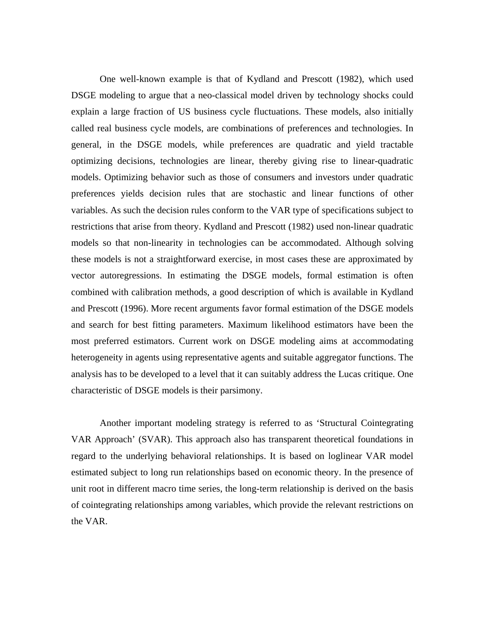One well-known example is that of Kydland and Prescott (1982), which used DSGE modeling to argue that a neo-classical model driven by technology shocks could explain a large fraction of US business cycle fluctuations. These models, also initially called real business cycle models, are combinations of preferences and technologies. In general, in the DSGE models, while preferences are quadratic and yield tractable optimizing decisions, technologies are linear, thereby giving rise to linear-quadratic models. Optimizing behavior such as those of consumers and investors under quadratic preferences yields decision rules that are stochastic and linear functions of other variables. As such the decision rules conform to the VAR type of specifications subject to restrictions that arise from theory. Kydland and Prescott (1982) used non-linear quadratic models so that non-linearity in technologies can be accommodated. Although solving these models is not a straightforward exercise, in most cases these are approximated by vector autoregressions. In estimating the DSGE models, formal estimation is often combined with calibration methods, a good description of which is available in Kydland and Prescott (1996). More recent arguments favor formal estimation of the DSGE models and search for best fitting parameters. Maximum likelihood estimators have been the most preferred estimators. Current work on DSGE modeling aims at accommodating heterogeneity in agents using representative agents and suitable aggregator functions. The analysis has to be developed to a level that it can suitably address the Lucas critique. One characteristic of DSGE models is their parsimony.

 Another important modeling strategy is referred to as 'Structural Cointegrating VAR Approach' (SVAR). This approach also has transparent theoretical foundations in regard to the underlying behavioral relationships. It is based on loglinear VAR model estimated subject to long run relationships based on economic theory. In the presence of unit root in different macro time series, the long-term relationship is derived on the basis of cointegrating relationships among variables, which provide the relevant restrictions on the VAR.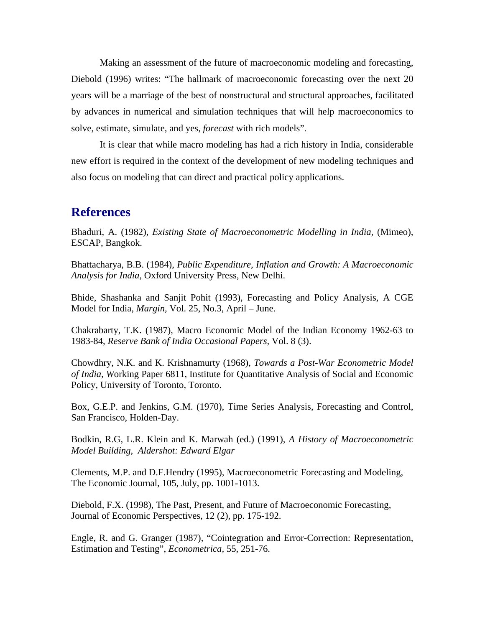Making an assessment of the future of macroeconomic modeling and forecasting, Diebold (1996) writes: "The hallmark of macroeconomic forecasting over the next 20 years will be a marriage of the best of nonstructural and structural approaches, facilitated by advances in numerical and simulation techniques that will help macroeconomics to solve, estimate, simulate, and yes, *forecast* with rich models".

It is clear that while macro modeling has had a rich history in India, considerable new effort is required in the context of the development of new modeling techniques and also focus on modeling that can direct and practical policy applications.

### **References**

Bhaduri, A. (1982), *Existing State of Macroeconometric Modelling in India,* (Mimeo), ESCAP, Bangkok.

Bhattacharya, B.B. (1984), *Public Expenditure, Inflation and Growth: A Macroeconomic Analysis for India,* Oxford University Press, New Delhi.

Bhide, Shashanka and Sanjit Pohit (1993), Forecasting and Policy Analysis, A CGE Model for India, *Margin,* Vol. 25, No.3, April – June.

Chakrabarty, T.K. (1987), Macro Economic Model of the Indian Economy 1962-63 to 1983-84, *Reserve Bank of India Occasional Papers,* Vol. 8 (3).

Chowdhry, N.K. and K. Krishnamurty (1968), *Towards a Post-War Econometric Model of India, W*orking Paper 6811, Institute for Quantitative Analysis of Social and Economic Policy, University of Toronto, Toronto.

Box, G.E.P. and Jenkins, G.M. (1970), Time Series Analysis, Forecasting and Control, San Francisco, Holden-Day.

Bodkin, R.G, L.R. Klein and K. Marwah (ed.) (1991), *A History of Macroeconometric Model Building, Aldershot: Edward Elgar*

Clements, M.P. and D.F.Hendry (1995), Macroeconometric Forecasting and Modeling, The Economic Journal, 105, July, pp. 1001-1013.

Diebold, F.X. (1998), The Past, Present, and Future of Macroeconomic Forecasting, Journal of Economic Perspectives, 12 (2), pp. 175-192.

Engle, R. and G. Granger (1987), "Cointegration and Error-Correction: Representation, Estimation and Testing", *Econometrica,* 55, 251-76.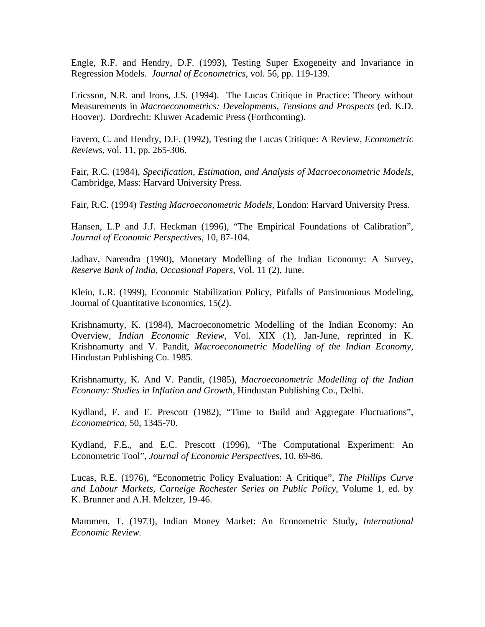Engle, R.F. and Hendry, D.F. (1993), Testing Super Exogeneity and Invariance in Regression Models. *Journal of Econometrics,* vol. 56, pp. 119-139.

Ericsson, N.R. and Irons, J.S. (1994). The Lucas Critique in Practice: Theory without Measurements in *Macroeconometrics: Developments, Tensions and Prospects* (ed. K.D. Hoover). Dordrecht: Kluwer Academic Press (Forthcoming).

Favero, C. and Hendry, D.F. (1992), Testing the Lucas Critique: A Review, *Econometric Reviews,* vol. 11, pp. 265-306.

Fair, R.C. (1984), *Specification, Estimation, and Analysis of Macroeconometric Models,* Cambridge, Mass: Harvard University Press.

Fair, R.C. (1994) *Testing Macroeconometric Models,* London: Harvard University Press.

Hansen, L.P and J.J. Heckman (1996), "The Empirical Foundations of Calibration", *Journal of Economic Perspectives,* 10, 87-104.

Jadhav, Narendra (1990), Monetary Modelling of the Indian Economy: A Survey, *Reserve Bank of India, Occasional Papers,* Vol. 11 (2), June.

Klein, L.R. (1999), Economic Stabilization Policy, Pitfalls of Parsimonious Modeling, Journal of Quantitative Economics, 15(2).

Krishnamurty, K. (1984), Macroeconometric Modelling of the Indian Economy: An Overview, *Indian Economic Review,* Vol. XIX (1), Jan-June, reprinted in K. Krishnamurty and V. Pandit, *Macroeconometric Modelling of the Indian Economy,* Hindustan Publishing Co. 1985.

Krishnamurty, K. And V. Pandit, (1985), *Macroeconometric Modelling of the Indian Economy: Studies in Inflation and Growth,* Hindustan Publishing Co., Delhi.

Kydland, F. and E. Prescott (1982), "Time to Build and Aggregate Fluctuations", *Econometrica,* 50, 1345-70.

Kydland*,* F.E., and E.C. Prescott (1996), "The Computational Experiment: An Econometric Tool", *Journal of Economic Perspectives,* 10, 69-86.

Lucas, R.E. (1976), "Econometric Policy Evaluation: A Critique", *The Phillips Curve and Labour Markets, Carneige Rochester Series on Public Policy,* Volume 1, ed. by K. Brunner and A.H. Meltzer, 19-46.

Mammen, T. (1973), Indian Money Market: An Econometric Study, *International Economic Review.*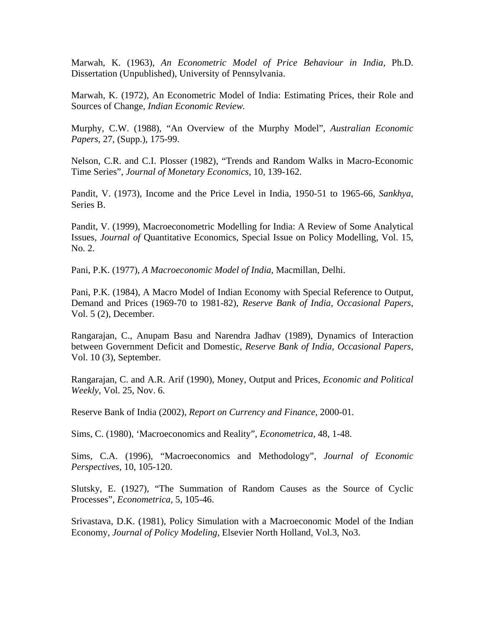Marwah, K. (1963), *An Econometric Model of Price Behaviour in India,* Ph.D. Dissertation (Unpublished), University of Pennsylvania.

Marwah, K. (1972), An Econometric Model of India: Estimating Prices, their Role and Sources of Change, *Indian Economic Review.* 

Murphy, C.W. (1988), "An Overview of the Murphy Model", *Australian Economic Papers,* 27, (Supp.), 175-99.

Nelson, C.R. and C.I. Plosser (1982), "Trends and Random Walks in Macro-Economic Time Series", *Journal of Monetary Economics,* 10, 139-162.

Pandit, V. (1973), Income and the Price Level in India, 1950-51 to 1965-66, *Sankhya,*  Series B.

Pandit, V. (1999), Macroeconometric Modelling for India: A Review of Some Analytical Issues, *Journal of* Quantitative Economics, Special Issue on Policy Modelling*,* Vol. 15, No. 2.

Pani, P.K. (1977), *A Macroeconomic Model of India,* Macmillan, Delhi.

Pani, P.K. (1984), A Macro Model of Indian Economy with Special Reference to Output, Demand and Prices (1969-70 to 1981-82), *Reserve Bank of India, Occasional Papers,* Vol. 5 (2), December.

Rangarajan, C., Anupam Basu and Narendra Jadhav (1989), Dynamics of Interaction between Government Deficit and Domestic, *Reserve Bank of India, Occasional Papers,* Vol. 10 (3), September.

Rangarajan, C. and A.R. Arif (1990), Money, Output and Prices, *Economic and Political Weekly,* Vol. 25, Nov. 6.

Reserve Bank of India (2002), *Report on Currency and Finance,* 2000-01*.* 

Sims, C. (1980), 'Macroeconomics and Reality", *Econometrica,* 48, 1-48.

Sims, C.A. (1996), "Macroeconomics and Methodology", *Journal of Economic Perspectives,* 10, 105-120.

Slutsky, E. (1927), "The Summation of Random Causes as the Source of Cyclic Processes", *Econometrica,* 5, 105-46.

Srivastava, D.K. (1981), Policy Simulation with a Macroeconomic Model of the Indian Economy, *Journal of Policy Modeling,* Elsevier North Holland, Vol.3, No3.